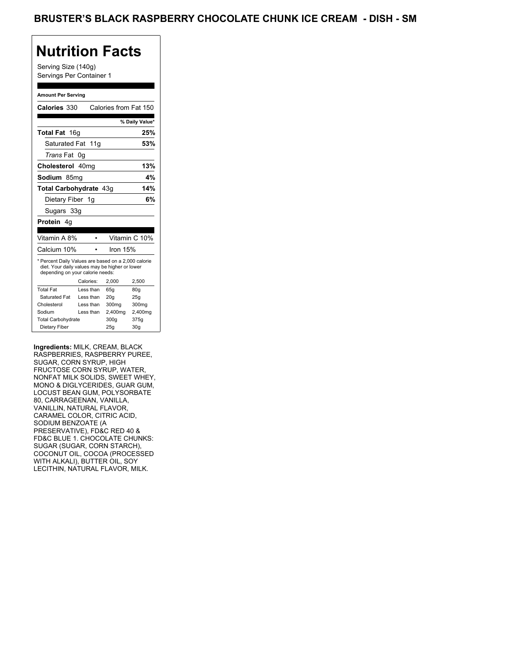Serving Size (140g) Servings Per Container 1

#### **Amount Per Serving**

| Calories 330                                                                                                                              |           |                   |            | Calories from Fat 150 |
|-------------------------------------------------------------------------------------------------------------------------------------------|-----------|-------------------|------------|-----------------------|
|                                                                                                                                           |           |                   |            | % Daily Value*        |
| Total Fat 16q                                                                                                                             |           |                   |            | 25%                   |
| Saturated Fat 11g                                                                                                                         |           |                   |            | 53%                   |
| <i>Trans</i> Fat                                                                                                                          | 0g        |                   |            |                       |
| Cholesterol 40mg                                                                                                                          |           |                   |            | 13%                   |
| Sodium 85mq                                                                                                                               |           |                   |            | 4%                    |
| Total Carbohydrate 43q                                                                                                                    |           |                   |            | 14%                   |
| Dietary Fiber 1g                                                                                                                          |           |                   |            | 6%                    |
| Sugars 33g                                                                                                                                |           |                   |            |                       |
| <b>Protein</b> 4q                                                                                                                         |           |                   |            |                       |
|                                                                                                                                           |           |                   |            |                       |
| Vitamin A 8%                                                                                                                              |           |                   |            | Vitamin C 10%         |
| Calcium 10%                                                                                                                               |           |                   | Iron $15%$ |                       |
| * Percent Daily Values are based on a 2,000 calorie<br>diet. Your daily values may be higher or lower<br>depending on your calorie needs: |           |                   |            |                       |
|                                                                                                                                           | Calories: | 2.000             |            | 2,500                 |
| <b>Total Fat</b>                                                                                                                          | Less than | 65q               |            | 80g                   |
| Saturated Fat                                                                                                                             | Less than | 20q               |            | 25q                   |
| Cholesterol                                                                                                                               | Less than | 300 <sub>mq</sub> |            | 300mg                 |
| Sodium                                                                                                                                    | Less than | 2,400mg           |            | 2,400mg               |
| <b>Total Carbohydrate</b>                                                                                                                 |           | 300q              |            | 375g                  |
| Dietary Fiber                                                                                                                             |           | 25g               |            | 30 <sub>g</sub>       |

**Ingredients:** MILK, CREAM, BLACK RASPBERRIES, RASPBERRY PUREE, SUGAR, CORN SYRUP, HIGH FRUCTOSE CORN SYRUP, WATER, NONFAT MILK SOLIDS, SWEET WHEY, MONO & DIGLYCERIDES, GUAR GUM, LOCUST BEAN GUM, POLYSORBATE 80, CARRAGEENAN, VANILLA, VANILLIN, NATURAL FLAVOR, CARAMEL COLOR, CITRIC ACID, SODIUM BENZOATE (A PRESERVATIVE), FD&C RED 40 & FD&C BLUE 1. CHOCOLATE CHUNKS: SUGAR (SUGAR, CORN STARCH), COCONUT OIL, COCOA (PROCESSED WITH ALKALI), BUTTER OIL, SOY LECITHIN, NATURAL FLAVOR, MILK.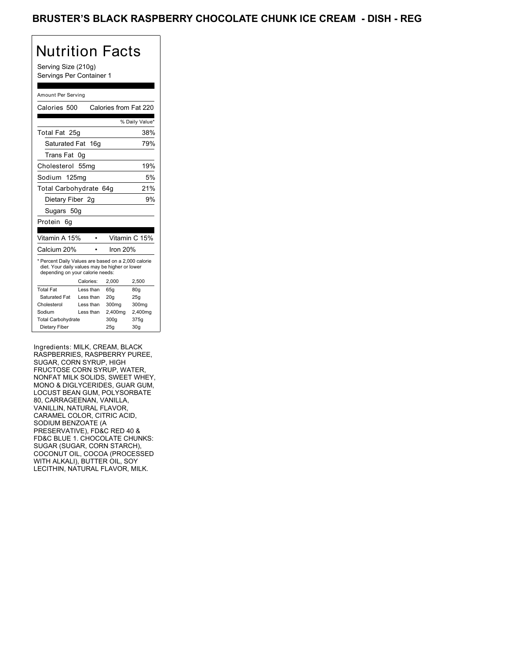Serving Size (210g) Servings Per Container 1

#### Amount Per Serving

|                           | Calories from Fat 220                                                                                                           |                                                                                                                                                                     |
|---------------------------|---------------------------------------------------------------------------------------------------------------------------------|---------------------------------------------------------------------------------------------------------------------------------------------------------------------|
|                           |                                                                                                                                 | % Daily Value*                                                                                                                                                      |
|                           |                                                                                                                                 | 38%                                                                                                                                                                 |
|                           |                                                                                                                                 | 79%                                                                                                                                                                 |
|                           |                                                                                                                                 |                                                                                                                                                                     |
|                           |                                                                                                                                 | 19%                                                                                                                                                                 |
|                           |                                                                                                                                 | 5%                                                                                                                                                                  |
|                           |                                                                                                                                 | 21%                                                                                                                                                                 |
|                           |                                                                                                                                 | 9%                                                                                                                                                                  |
|                           |                                                                                                                                 |                                                                                                                                                                     |
|                           |                                                                                                                                 |                                                                                                                                                                     |
|                           |                                                                                                                                 | Vitamin C 15%                                                                                                                                                       |
|                           | Iron 20%                                                                                                                        |                                                                                                                                                                     |
|                           |                                                                                                                                 |                                                                                                                                                                     |
| Calories:                 | 2,000                                                                                                                           | 2,500                                                                                                                                                               |
|                           |                                                                                                                                 |                                                                                                                                                                     |
| Less than                 | 65q                                                                                                                             | 80 <sub>g</sub>                                                                                                                                                     |
| Less than                 | 20q                                                                                                                             | 25g                                                                                                                                                                 |
| Less than                 | 300mg                                                                                                                           | 300mg                                                                                                                                                               |
| Less than                 | 2,400mg                                                                                                                         | 2,400mg                                                                                                                                                             |
| <b>Total Carbohydrate</b> | 300g                                                                                                                            | 375g                                                                                                                                                                |
|                           | Total Fat 25g<br>Saturated Fat 16g<br>0g<br>55 <sub>mq</sub><br>Sodium 125mg<br>Dietary Fiber 2g<br>Sugars 50g<br>Vitamin A 15% | Total Carbohydrate 64g<br>* Percent Daily Values are based on a 2,000 calorie<br>diet. Your daily values may be higher or lower<br>depending on your calorie needs: |

Ingredients: MILK, CREAM, BLACK RASPBERRIES, RASPBERRY PUREE, SUGAR, CORN SYRUP, HIGH FRUCTOSE CORN SYRUP, WATER, NONFAT MILK SOLIDS, SWEET WHEY, MONO & DIGLYCERIDES, GUAR GUM, LOCUST BEAN GUM, POLYSORBATE 80, CARRAGEENAN, VANILLA, VANILLIN, NATURAL FLAVOR, CARAMEL COLOR, CITRIC ACID, SODIUM BENZOATE (A PRESERVATIVE), FD&C RED 40 & FD&C BLUE 1. CHOCOLATE CHUNKS: SUGAR (SUGAR, CORN STARCH), COCONUT OIL, COCOA (PROCESSED WITH ALKALI), BUTTER OIL, SOY LECITHIN, NATURAL FLAVOR, MILK.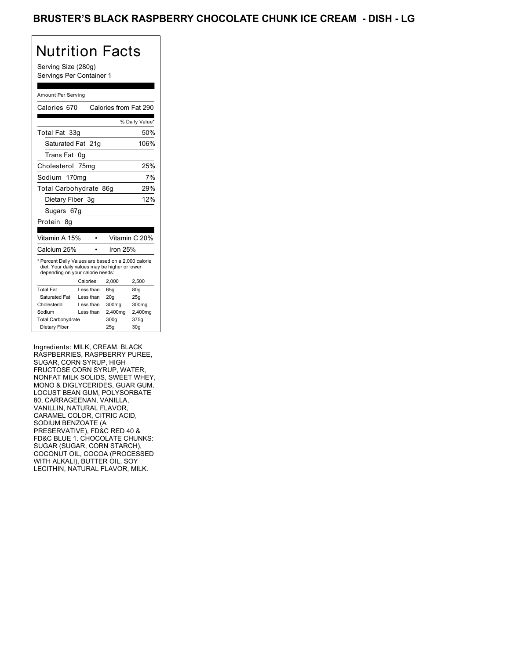Serving Size (280g) Servings Per Container 1

#### Amount Per Serving

|                                  | Calories from Fat 290                                                                                 |                        |
|----------------------------------|-------------------------------------------------------------------------------------------------------|------------------------|
|                                  |                                                                                                       | % Daily Value*         |
|                                  |                                                                                                       | 50%                    |
|                                  |                                                                                                       | 106%                   |
|                                  |                                                                                                       |                        |
|                                  |                                                                                                       | 25%                    |
|                                  |                                                                                                       | 7%                     |
|                                  |                                                                                                       | 29%                    |
|                                  |                                                                                                       | 12%                    |
|                                  |                                                                                                       |                        |
|                                  |                                                                                                       |                        |
|                                  |                                                                                                       |                        |
|                                  |                                                                                                       | Vitamin C 20%          |
|                                  |                                                                                                       |                        |
|                                  | Iron 25%                                                                                              |                        |
| depending on your calorie needs: | * Percent Daily Values are based on a 2,000 calorie<br>diet. Your daily values may be higher or lower |                        |
| Calories:                        | 2,000                                                                                                 | 2,500                  |
| Less than                        | 65q                                                                                                   | 80q                    |
| Less than                        | 20 <sub>g</sub>                                                                                       | 25g                    |
| Less than                        | 300mg                                                                                                 | 300mg                  |
| Less than                        | 2,400mg                                                                                               | 2,400mg                |
|                                  | 300q                                                                                                  | 375g                   |
|                                  | Saturated Fat 21g<br>0g<br>75ma<br>Sodium 170mg<br>Dietary Fiber 3g<br>Sugars 67g                     | Total Carbohydrate 86g |

Ingredients: MILK, CREAM, BLACK RASPBERRIES, RASPBERRY PUREE, SUGAR, CORN SYRUP, HIGH FRUCTOSE CORN SYRUP, WATER, NONFAT MILK SOLIDS, SWEET WHEY, MONO & DIGLYCERIDES, GUAR GUM, LOCUST BEAN GUM, POLYSORBATE 80, CARRAGEENAN, VANILLA, VANILLIN, NATURAL FLAVOR, CARAMEL COLOR, CITRIC ACID, SODIUM BENZOATE (A PRESERVATIVE), FD&C RED 40 & FD&C BLUE 1. CHOCOLATE CHUNKS: SUGAR (SUGAR, CORN STARCH), COCONUT OIL, COCOA (PROCESSED WITH ALKALI), BUTTER OIL, SOY LECITHIN, NATURAL FLAVOR, MILK.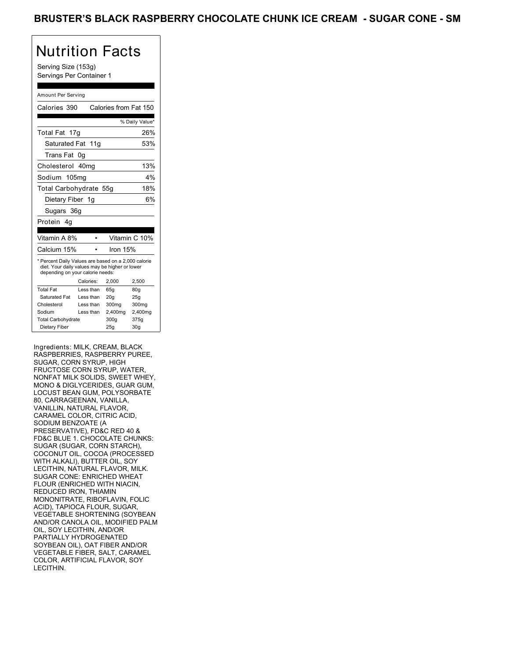Serving Size (153g) Servings Per Container 1

#### Amount Per Serving

| Calories 390                                                                                                                              |           | Calories from Fat 150 |                 |
|-------------------------------------------------------------------------------------------------------------------------------------------|-----------|-----------------------|-----------------|
|                                                                                                                                           |           |                       | % Daily Value*  |
| Total Fat 17g                                                                                                                             |           |                       | 26%             |
| Saturated Fat 11g                                                                                                                         |           |                       | 53%             |
| Trans Fat                                                                                                                                 | 0g        |                       |                 |
| Cholesterol 40mg                                                                                                                          |           |                       | 13%             |
| Sodium 105mg                                                                                                                              |           |                       | 4%              |
| Total Carbohydrate 55g                                                                                                                    |           |                       | 18%             |
| Dietary Fiber 1g                                                                                                                          |           |                       | 6%              |
| Sugars 36g                                                                                                                                |           |                       |                 |
| Protein<br>4q                                                                                                                             |           |                       |                 |
|                                                                                                                                           |           |                       |                 |
| Vitamin A 8%                                                                                                                              |           |                       | Vitamin C 10%   |
| Calcium 15%                                                                                                                               |           | Iron $15%$            |                 |
| * Percent Daily Values are based on a 2,000 calorie<br>diet. Your daily values may be higher or lower<br>depending on your calorie needs: |           |                       |                 |
|                                                                                                                                           | Calories: | 2.000                 | 2,500           |
| <b>Total Fat</b>                                                                                                                          | Less than | 65q                   | 80q             |
| Saturated Fat                                                                                                                             | Less than | 20q                   | 25q             |
| Cholesterol                                                                                                                               | Less than | 300mg                 | 300mg           |
| Sodium                                                                                                                                    | Less than | 2,400mg               | 2,400mg         |
| <b>Total Carbohydrate</b>                                                                                                                 |           | 300q                  | 375g            |
| Dietary Fiber                                                                                                                             |           | 25q                   | 30 <sub>g</sub> |

Ingredients: MILK, CREAM, BLACK RASPBERRIES, RASPBERRY PUREE, SUGAR, CORN SYRUP, HIGH FRUCTOSE CORN SYRUP, WATER, NONFAT MILK SOLIDS, SWEET WHEY, MONO & DIGLYCERIDES, GUAR GUM, LOCUST BEAN GUM, POLYSORBATE 80, CARRAGEENAN, VANILLA, VANILLIN, NATURAL FLAVOR, CARAMEL COLOR, CITRIC ACID, SODIUM BENZOATE (A PRESERVATIVE), FD&C RED 40 & FD&C BLUE 1. CHOCOLATE CHUNKS: SUGAR (SUGAR, CORN STARCH), COCONUT OIL, COCOA (PROCESSED WITH ALKALI), BUTTER OIL, SOY LECITHIN, NATURAL FLAVOR, MILK. SUGAR CONE: ENRICHED WHEAT FLOUR (ENRICHED WITH NIACIN, REDUCED IRON, THIAMIN MONONITRATE, RIBOFLAVIN, FOLIC ACID), TAPIOCA FLOUR, SUGAR, VEGETABLE SHORTENING (SOYBEAN AND/OR CANOLA OIL, MODIFIED PALM OIL, SOY LECITHIN, AND/OR PARTIALLY HYDROGENATED SOYBEAN OIL), OAT FIBER AND/OR VEGETABLE FIBER, SALT, CARAMEL COLOR, ARTIFICIAL FLAVOR, SOY LECITHIN.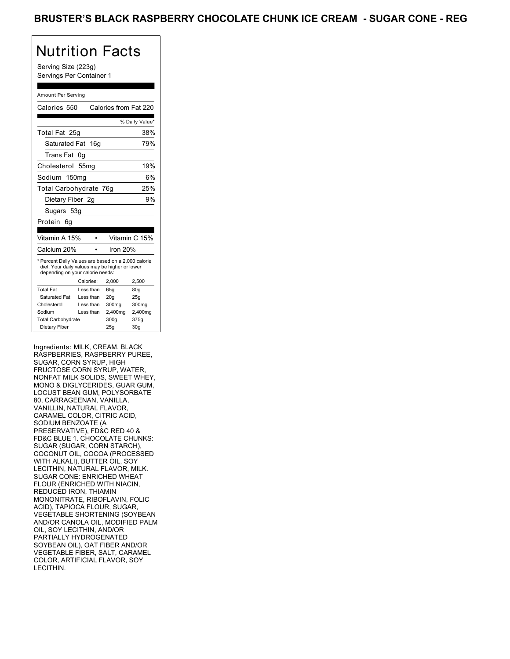Serving Size (223g) Servings Per Container 1

#### Amount Per Serving

| Calories 550                                                                                                                              |                  |          | Calories from Fat 220 |
|-------------------------------------------------------------------------------------------------------------------------------------------|------------------|----------|-----------------------|
|                                                                                                                                           |                  |          | % Daily Value*        |
| Total Fat 25g                                                                                                                             |                  |          | 38%                   |
| Saturated Fat 16g                                                                                                                         |                  |          | 79%                   |
| Trans Fat                                                                                                                                 | 0g               |          |                       |
| Cholesterol                                                                                                                               | 55 <sub>mq</sub> |          | 19%                   |
| Sodium 150mg                                                                                                                              |                  |          | 6%                    |
| Total Carbohydrate 76g                                                                                                                    |                  |          | 25%                   |
| Dietary Fiber 2g                                                                                                                          |                  |          | 9%                    |
| Sugars 53g                                                                                                                                |                  |          |                       |
| Protein<br>6q                                                                                                                             |                  |          |                       |
|                                                                                                                                           |                  |          |                       |
| Vitamin A 15%                                                                                                                             |                  |          | Vitamin C 15%         |
| Calcium 20%                                                                                                                               |                  | Iron 20% |                       |
| * Percent Daily Values are based on a 2,000 calorie<br>diet. Your daily values may be higher or lower<br>depending on your calorie needs: |                  |          |                       |
|                                                                                                                                           | Calories:        | 2.000    | 2,500                 |
| <b>Total Fat</b>                                                                                                                          | Less than        | 65q      | 80q                   |
| Saturated Fat                                                                                                                             | Less than        | 20q      | 25q                   |
| Cholesterol                                                                                                                               | Less than        | 300mg    | 300mg                 |
| Sodium                                                                                                                                    | Less than        | 2,400mg  | 2,400mg               |
| <b>Total Carbohydrate</b>                                                                                                                 |                  | 300q     | 375g                  |
| Dietary Fiber                                                                                                                             |                  | 25q      | 30 <sub>q</sub>       |

Ingredients: MILK, CREAM, BLACK RASPBERRIES, RASPBERRY PUREE, SUGAR, CORN SYRUP, HIGH FRUCTOSE CORN SYRUP, WATER, NONFAT MILK SOLIDS, SWEET WHEY, MONO & DIGLYCERIDES, GUAR GUM, LOCUST BEAN GUM, POLYSORBATE 80, CARRAGEENAN, VANILLA, VANILLIN, NATURAL FLAVOR, CARAMEL COLOR, CITRIC ACID, SODIUM BENZOATE (A PRESERVATIVE), FD&C RED 40 & FD&C BLUE 1. CHOCOLATE CHUNKS: SUGAR (SUGAR, CORN STARCH), COCONUT OIL, COCOA (PROCESSED WITH ALKALI), BUTTER OIL, SOY LECITHIN, NATURAL FLAVOR, MILK. SUGAR CONE: ENRICHED WHEAT FLOUR (ENRICHED WITH NIACIN, REDUCED IRON, THIAMIN MONONITRATE, RIBOFLAVIN, FOLIC ACID), TAPIOCA FLOUR, SUGAR, VEGETABLE SHORTENING (SOYBEAN AND/OR CANOLA OIL, MODIFIED PALM OIL, SOY LECITHIN, AND/OR PARTIALLY HYDROGENATED SOYBEAN OIL), OAT FIBER AND/OR VEGETABLE FIBER, SALT, CARAMEL COLOR, ARTIFICIAL FLAVOR, SOY LECITHIN.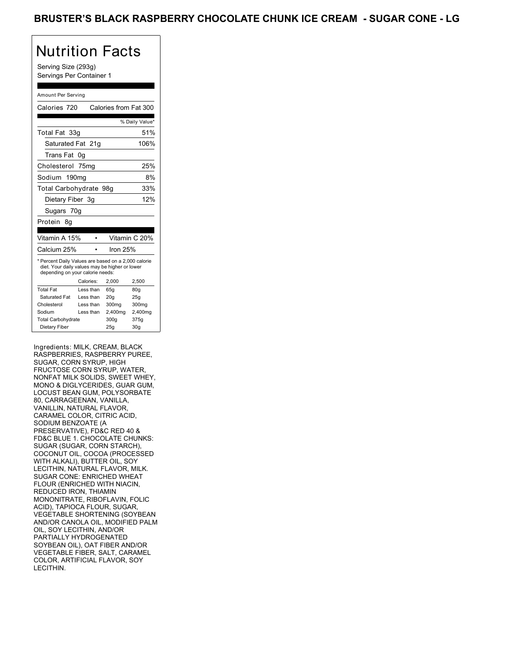Serving Size (293g) Servings Per Container 1

#### Amount Per Serving

| Calories 720                                                                                                                              |           | Calories from Fat 300 |                |
|-------------------------------------------------------------------------------------------------------------------------------------------|-----------|-----------------------|----------------|
|                                                                                                                                           |           |                       | % Daily Value* |
| Total Fat 33g                                                                                                                             |           |                       | 51%            |
| Saturated Fat 21g                                                                                                                         |           |                       | 106%           |
| Trans Fat                                                                                                                                 | 0g        |                       |                |
| Cholesterol 75mg                                                                                                                          |           |                       | 25%            |
| Sodium 190mg                                                                                                                              |           |                       | 8%             |
| Total Carbohydrate 98g                                                                                                                    |           |                       | 33%            |
| Dietary Fiber 3g                                                                                                                          |           |                       | 12%            |
| Sugars 70g                                                                                                                                |           |                       |                |
| Protein<br>8a                                                                                                                             |           |                       |                |
|                                                                                                                                           |           |                       |                |
| Vitamin A 15%                                                                                                                             |           |                       | Vitamin C 20%  |
| Calcium 25%                                                                                                                               |           | Iron 25%              |                |
| * Percent Daily Values are based on a 2,000 calorie<br>diet. Your daily values may be higher or lower<br>depending on your calorie needs: |           |                       |                |
|                                                                                                                                           | Calories: | 2.000                 | 2.500          |
| <b>Total Fat</b>                                                                                                                          | Less than | 65q                   | 80q            |
| Saturated Fat                                                                                                                             | Less than | 20q                   | 25q            |
| Cholesterol                                                                                                                               | Less than | 300mg                 | 300mg          |
| Sodium                                                                                                                                    | Less than | 2,400mg               | 2,400mg        |
| <b>Total Carbohydrate</b>                                                                                                                 |           | 300g                  | 375g           |
| Dietary Fiber                                                                                                                             |           | 25q                   | 30q            |

Ingredients: MILK, CREAM, BLACK RASPBERRIES, RASPBERRY PUREE, SUGAR, CORN SYRUP, HIGH FRUCTOSE CORN SYRUP, WATER, NONFAT MILK SOLIDS, SWEET WHEY, MONO & DIGLYCERIDES, GUAR GUM, LOCUST BEAN GUM, POLYSORBATE 80, CARRAGEENAN, VANILLA, VANILLIN, NATURAL FLAVOR, CARAMEL COLOR, CITRIC ACID, SODIUM BENZOATE (A PRESERVATIVE), FD&C RED 40 & FD&C BLUE 1. CHOCOLATE CHUNKS: SUGAR (SUGAR, CORN STARCH), COCONUT OIL, COCOA (PROCESSED WITH ALKALI), BUTTER OIL, SOY LECITHIN, NATURAL FLAVOR, MILK. SUGAR CONE: ENRICHED WHEAT FLOUR (ENRICHED WITH NIACIN, REDUCED IRON, THIAMIN MONONITRATE, RIBOFLAVIN, FOLIC ACID), TAPIOCA FLOUR, SUGAR, VEGETABLE SHORTENING (SOYBEAN AND/OR CANOLA OIL, MODIFIED PALM OIL, SOY LECITHIN, AND/OR PARTIALLY HYDROGENATED SOYBEAN OIL), OAT FIBER AND/OR VEGETABLE FIBER, SALT, CARAMEL COLOR, ARTIFICIAL FLAVOR, SOY LECITHIN.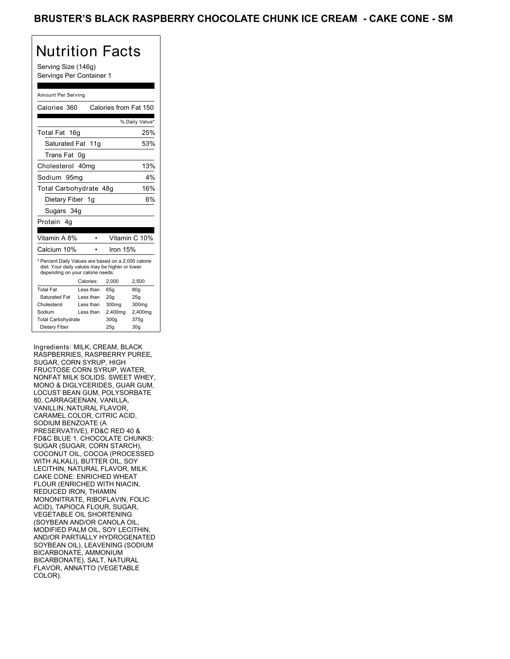Serving Size (146g) Servings Per Container 1

#### Amount Per Serving

| Calories 360                                                                                                                              |           | Calories from Fat 150 |                 |
|-------------------------------------------------------------------------------------------------------------------------------------------|-----------|-----------------------|-----------------|
|                                                                                                                                           |           |                       | % Daily Value*  |
| Total Fat 16g                                                                                                                             |           |                       | 25%             |
| Saturated Fat 11g                                                                                                                         |           |                       | 53%             |
| Trans Fat                                                                                                                                 | 0g        |                       |                 |
| Cholesterol 40mg                                                                                                                          |           |                       | 13%             |
| Sodium 95mq                                                                                                                               |           |                       | $4\%$           |
| Total Carbohydrate 48g                                                                                                                    |           |                       | 16%             |
| Dietary Fiber 1g                                                                                                                          |           |                       | 6%              |
| Sugars 34g                                                                                                                                |           |                       |                 |
| Protein 4q                                                                                                                                |           |                       |                 |
|                                                                                                                                           |           |                       |                 |
| Vitamin A 8%                                                                                                                              |           |                       | Vitamin C 10%   |
| Calcium 10%                                                                                                                               |           | Iron $15%$            |                 |
| * Percent Daily Values are based on a 2,000 calorie<br>diet. Your daily values may be higher or lower<br>depending on your calorie needs: |           |                       |                 |
|                                                                                                                                           | Calories: | 2.000                 | 2,500           |
| <b>Total Fat</b>                                                                                                                          | Less than | 65q                   | 80q             |
| Saturated Fat                                                                                                                             | Less than | 20q                   | 25q             |
| Cholesterol                                                                                                                               | Less than | 300mg                 | 300mg           |
| Sodium                                                                                                                                    | Less than | 2,400mg               | 2,400mg         |
| <b>Total Carbohydrate</b>                                                                                                                 |           | 300g                  | 375g            |
| Dietary Fiber                                                                                                                             |           | 25q                   | 30 <sub>g</sub> |

Ingredients: MILK, CREAM, BLACK RASPBERRIES, RASPBERRY PUREE, SUGAR, CORN SYRUP, HIGH FRUCTOSE CORN SYRUP, WATER, NONFAT MILK SOLIDS, SWEET WHEY, MONO & DIGLYCERIDES, GUAR GUM, LOCUST BEAN GUM, POLYSORBATE 80, CARRAGEENAN, VANILLA, VANILLIN, NATURAL FLAVOR, CARAMEL COLOR, CITRIC ACID, SODIUM BENZOATE (A PRESERVATIVE), FD&C RED 40 & FD&C BLUE 1. CHOCOLATE CHUNKS: SUGAR (SUGAR, CORN STARCH), COCONUT OIL, COCOA (PROCESSED WITH ALKALI), BUTTER OIL, SOY LECITHIN, NATURAL FLAVOR, MILK. CAKE CONE: ENRICHED WHEAT FLOUR (ENRICHED WITH NIACIN, REDUCED IRON, THIAMIN MONONITRATE, RIBOFLAVIN, FOLIC ACID), TAPIOCA FLOUR, SUGAR, VEGETABLE OIL SHORTENING (SOYBEAN AND/OR CANOLA OIL, MODIFIED PALM OIL, SOY LECITHIN, AND/OR PARTIALLY HYDROGENATED SOYBEAN OIL), LEAVENING (SODIUM BICARBONATE, AMMONIUM BICARBONATE), SALT, NATURAL FLAVOR, ANNATTO (VEGETABLE COLOR).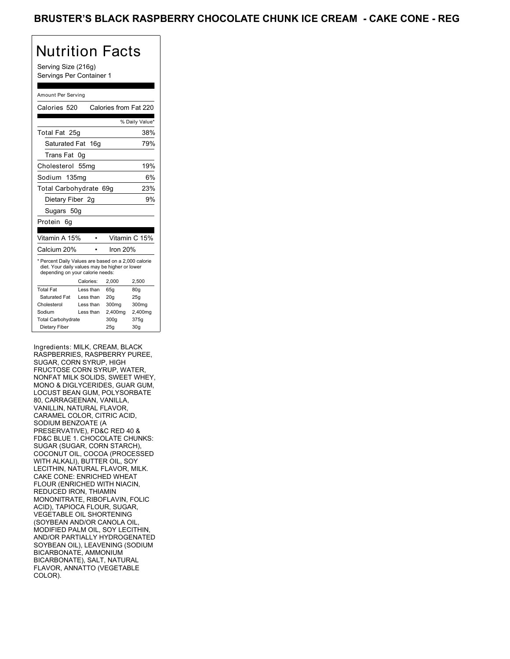Serving Size (216g) Servings Per Container 1

#### Amount Per Serving

| Calories 520                                                                                                                              |           |           | Calories from Fat 220 |                 |
|-------------------------------------------------------------------------------------------------------------------------------------------|-----------|-----------|-----------------------|-----------------|
|                                                                                                                                           |           |           |                       |                 |
|                                                                                                                                           |           |           |                       | % Daily Value*  |
| Total Fat 25g                                                                                                                             |           |           |                       | 38%             |
| Saturated Fat 16g                                                                                                                         |           |           |                       | 79%             |
| Trans Fat                                                                                                                                 | 0g        |           |                       |                 |
| Cholesterol 55mg                                                                                                                          |           |           |                       | 19%             |
| Sodium 135mg                                                                                                                              |           |           |                       | 6%              |
| Total Carbohydrate 69g                                                                                                                    |           |           |                       | 23%             |
| Dietary Fiber 2g                                                                                                                          |           |           |                       | 9%              |
| Sugars 50g                                                                                                                                |           |           |                       |                 |
| Protein<br>6g                                                                                                                             |           |           |                       |                 |
|                                                                                                                                           |           |           |                       |                 |
| Vitamin A 15%                                                                                                                             |           |           |                       | Vitamin C 15%   |
| Calcium 20%                                                                                                                               |           |           | Iron 20%              |                 |
| * Percent Daily Values are based on a 2,000 calorie<br>diet. Your daily values may be higher or lower<br>depending on your calorie needs: |           |           |                       |                 |
|                                                                                                                                           | Calories: |           | 2.000                 | 2,500           |
| <b>Total Fat</b>                                                                                                                          |           | Less than | 65q                   | 80q             |
| Saturated Fat                                                                                                                             |           | Less than | 20q                   | 25q             |
| Cholesterol                                                                                                                               |           | Less than | 300mg                 | 300mg           |
| Sodium                                                                                                                                    |           | Less than | 2,400mg               | 2,400mg         |
| <b>Total Carbohydrate</b>                                                                                                                 |           |           | 300q                  | 375g            |
| Dietary Fiber                                                                                                                             |           |           | 25q                   | 30 <sub>g</sub> |

Ingredients: MILK, CREAM, BLACK RASPBERRIES, RASPBERRY PUREE, SUGAR, CORN SYRUP, HIGH FRUCTOSE CORN SYRUP, WATER, NONFAT MILK SOLIDS, SWEET WHEY, MONO & DIGLYCERIDES, GUAR GUM, LOCUST BEAN GUM, POLYSORBATE 80, CARRAGEENAN, VANILLA, VANILLIN, NATURAL FLAVOR, CARAMEL COLOR, CITRIC ACID, SODIUM BENZOATE (A PRESERVATIVE), FD&C RED 40 & FD&C BLUE 1. CHOCOLATE CHUNKS: SUGAR (SUGAR, CORN STARCH), COCONUT OIL, COCOA (PROCESSED WITH ALKALI), BUTTER OIL, SOY LECITHIN, NATURAL FLAVOR, MILK. CAKE CONE: ENRICHED WHEAT FLOUR (ENRICHED WITH NIACIN, REDUCED IRON, THIAMIN MONONITRATE, RIBOFLAVIN, FOLIC ACID), TAPIOCA FLOUR, SUGAR, VEGETABLE OIL SHORTENING (SOYBEAN AND/OR CANOLA OIL, MODIFIED PALM OIL, SOY LECITHIN, AND/OR PARTIALLY HYDROGENATED SOYBEAN OIL), LEAVENING (SODIUM BICARBONATE, AMMONIUM BICARBONATE), SALT, NATURAL FLAVOR, ANNATTO (VEGETABLE COLOR).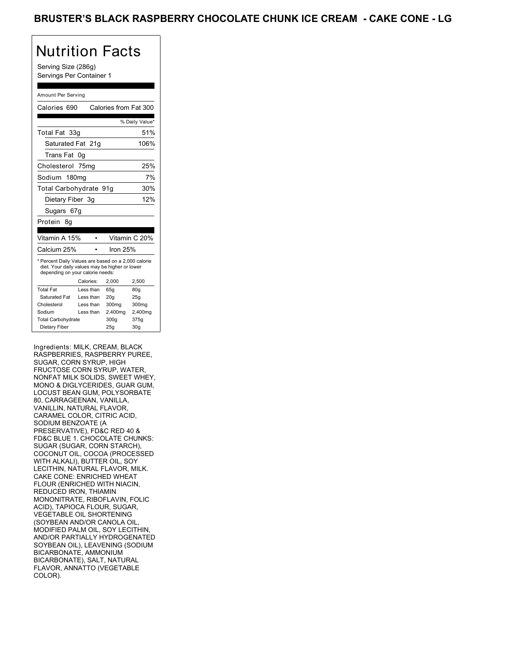Serving Size (286g) Servings Per Container 1

#### Amount Per Serving

| Calories 690                                                                                                                              |           | Calories from Fat 300 |                 |
|-------------------------------------------------------------------------------------------------------------------------------------------|-----------|-----------------------|-----------------|
|                                                                                                                                           |           |                       | % Daily Value*  |
| Total Fat 33g                                                                                                                             |           |                       | 51%             |
| Saturated Fat 21g                                                                                                                         |           |                       | 106%            |
| Trans Fat                                                                                                                                 | 0g        |                       |                 |
| Cholesterol 75mg                                                                                                                          |           |                       | 25%             |
| Sodium 180mg                                                                                                                              |           |                       | 7%              |
| Total Carbohydrate 91g                                                                                                                    |           |                       | 30%             |
| Dietary Fiber 3g                                                                                                                          |           |                       | 12%             |
| Sugars 67g                                                                                                                                |           |                       |                 |
| Protein<br>8α                                                                                                                             |           |                       |                 |
|                                                                                                                                           |           |                       |                 |
| Vitamin A 15%                                                                                                                             |           |                       | Vitamin C 20%   |
| Calcium 25%                                                                                                                               |           | Iron $25%$            |                 |
| * Percent Daily Values are based on a 2,000 calorie<br>diet. Your daily values may be higher or lower<br>depending on your calorie needs: |           |                       |                 |
|                                                                                                                                           | Calories: | 2.000                 | 2.500           |
| <b>Total Fat</b>                                                                                                                          | Less than | 65q                   | 80q             |
| Saturated Fat                                                                                                                             | Less than | 20q                   | 25q             |
| Cholesterol                                                                                                                               | Less than | 300mg                 | 300mg           |
| Sodium                                                                                                                                    | Less than | 2,400mg               | 2,400mg         |
| <b>Total Carbohydrate</b>                                                                                                                 |           | 300q                  | 375g            |
| Dietary Fiber                                                                                                                             |           | 25q                   | 30 <sub>g</sub> |

Ingredients: MILK, CREAM, BLACK RASPBERRIES, RASPBERRY PUREE, SUGAR, CORN SYRUP, HIGH FRUCTOSE CORN SYRUP, WATER, NONFAT MILK SOLIDS, SWEET WHEY, MONO & DIGLYCERIDES, GUAR GUM, LOCUST BEAN GUM, POLYSORBATE 80, CARRAGEENAN, VANILLA, VANILLIN, NATURAL FLAVOR, CARAMEL COLOR, CITRIC ACID, SODIUM BENZOATE (A PRESERVATIVE), FD&C RED 40 & FD&C BLUE 1. CHOCOLATE CHUNKS: SUGAR (SUGAR, CORN STARCH), COCONUT OIL, COCOA (PROCESSED WITH ALKALI), BUTTER OIL, SOY LECITHIN, NATURAL FLAVOR, MILK. CAKE CONE: ENRICHED WHEAT FLOUR (ENRICHED WITH NIACIN, REDUCED IRON, THIAMIN MONONITRATE, RIBOFLAVIN, FOLIC ACID), TAPIOCA FLOUR, SUGAR, VEGETABLE OIL SHORTENING (SOYBEAN AND/OR CANOLA OIL, MODIFIED PALM OIL, SOY LECITHIN, AND/OR PARTIALLY HYDROGENATED SOYBEAN OIL), LEAVENING (SODIUM BICARBONATE, AMMONIUM BICARBONATE), SALT, NATURAL FLAVOR, ANNATTO (VEGETABLE COLOR).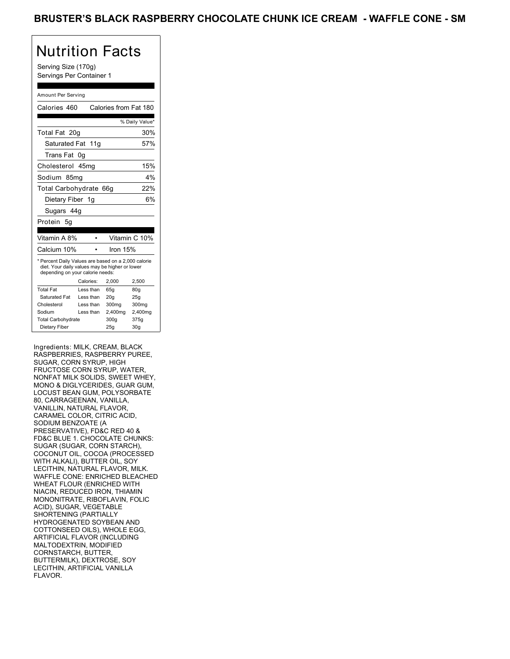Serving Size (170g) Servings Per Container 1

#### Amount Per Serving

| Calories 460                                                                                                                              |           | Calories from Fat 180 |                 |
|-------------------------------------------------------------------------------------------------------------------------------------------|-----------|-----------------------|-----------------|
|                                                                                                                                           |           |                       | % Daily Value*  |
| Total Fat 20g                                                                                                                             |           |                       | 30%             |
| Saturated Fat 11g                                                                                                                         |           |                       | 57%             |
| Trans Fat                                                                                                                                 | 0g        |                       |                 |
| Cholesterol 45mg                                                                                                                          |           |                       | 15%             |
| Sodium 85mq                                                                                                                               |           |                       | 4%              |
| Total Carbohydrate 66g                                                                                                                    |           |                       | 22%             |
| Dietary Fiber 1g                                                                                                                          |           |                       | 6%              |
| Sugars 44g                                                                                                                                |           |                       |                 |
| Protein 5q                                                                                                                                |           |                       |                 |
|                                                                                                                                           |           |                       |                 |
| Vitamin A 8%                                                                                                                              |           |                       | Vitamin C 10%   |
| Calcium 10%                                                                                                                               |           | Iron 15%              |                 |
| * Percent Daily Values are based on a 2,000 calorie<br>diet. Your daily values may be higher or lower<br>depending on your calorie needs: |           |                       |                 |
|                                                                                                                                           | Calories: | 2,000                 | 2,500           |
| <b>Total Fat</b>                                                                                                                          | Less than | 65q                   | 80q             |
| Saturated Fat                                                                                                                             | Less than | 20 <sub>g</sub>       | 25g             |
| Cholesterol                                                                                                                               | Less than | 300mg                 | 300mg           |
| Sodium                                                                                                                                    | Less than | 2,400mg               | 2,400mg         |
| <b>Total Carbohydrate</b>                                                                                                                 |           | 300q                  | 375g            |
| Dietary Fiber                                                                                                                             |           | 25g                   | 30 <sub>g</sub> |

Ingredients: MILK, CREAM, BLACK RASPBERRIES, RASPBERRY PUREE, SUGAR, CORN SYRUP, HIGH FRUCTOSE CORN SYRUP, WATER, NONFAT MILK SOLIDS, SWEET WHEY, MONO & DIGLYCERIDES, GUAR GUM, LOCUST BEAN GUM, POLYSORBATE 80, CARRAGEENAN, VANILLA, VANILLIN, NATURAL FLAVOR, CARAMEL COLOR, CITRIC ACID, SODIUM BENZOATE (A PRESERVATIVE), FD&C RED 40 & FD&C BLUE 1. CHOCOLATE CHUNKS: SUGAR (SUGAR, CORN STARCH), COCONUT OIL, COCOA (PROCESSED WITH ALKALI), BUTTER OIL, SOY LECITHIN, NATURAL FLAVOR, MILK. WAFFLE CONE: ENRICHED BLEACHED WHEAT FLOUR (ENRICHED WITH NIACIN, REDUCED IRON, THIAMIN MONONITRATE, RIBOFLAVIN, FOLIC ACID), SUGAR, VEGETABLE SHORTENING (PARTIALLY HYDROGENATED SOYBEAN AND COTTONSEED OILS), WHOLE EGG, ARTIFICIAL FLAVOR (INCLUDING MALTODEXTRIN, MODIFIED CORNSTARCH, BUTTER, BUTTERMILK), DEXTROSE, SOY LECITHIN, ARTIFICIAL VANILLA FLAVOR.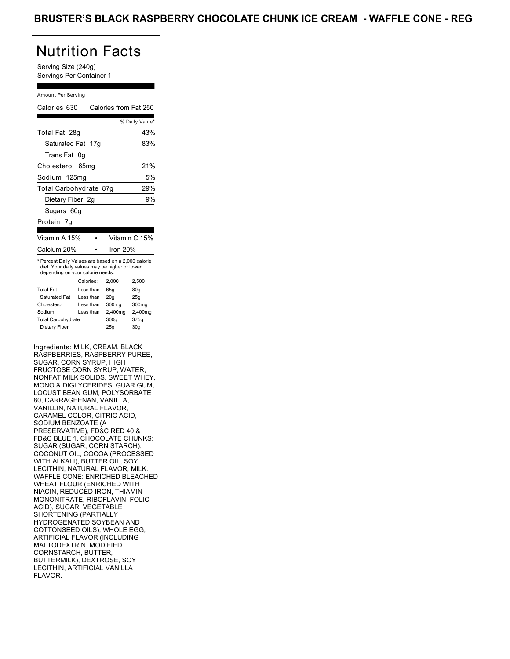Serving Size (240g) Servings Per Container 1

#### Amount Per Serving

| Calories 630                                                                                                                              |                  | Calories from Fat 250 |                 |  |
|-------------------------------------------------------------------------------------------------------------------------------------------|------------------|-----------------------|-----------------|--|
|                                                                                                                                           |                  |                       | % Daily Value*  |  |
| Total Fat 28g                                                                                                                             |                  |                       | 43%             |  |
| Saturated Fat 17g                                                                                                                         |                  |                       | 83%             |  |
| Trans Fat                                                                                                                                 | 0g               |                       |                 |  |
| Cholesterol                                                                                                                               | 65 <sub>mq</sub> |                       | 21%             |  |
| Sodium 125mg                                                                                                                              |                  |                       | 5%              |  |
| Total Carbohydrate 87g                                                                                                                    |                  |                       | 29%             |  |
| Dietary Fiber 2q                                                                                                                          |                  |                       | 9%              |  |
| Sugars 60g                                                                                                                                |                  |                       |                 |  |
| Protein 7g                                                                                                                                |                  |                       |                 |  |
|                                                                                                                                           |                  |                       |                 |  |
| Vitamin A 15%                                                                                                                             |                  |                       | Vitamin C 15%   |  |
| Calcium 20%                                                                                                                               |                  | Iron $20%$            |                 |  |
| * Percent Daily Values are based on a 2,000 calorie<br>diet. Your daily values may be higher or lower<br>depending on your calorie needs: |                  |                       |                 |  |
|                                                                                                                                           | Calories:        | 2,000                 | 2,500           |  |
| <b>Total Fat</b>                                                                                                                          | Less than        | 65q                   | 80q             |  |
| Saturated Fat                                                                                                                             | Less than        | 20q                   | 25q             |  |
| Cholesterol                                                                                                                               | Less than        | 300mg                 | 300mg           |  |
| Sodium                                                                                                                                    | Less than        | 2,400mg               | 2,400mg         |  |
| <b>Total Carbohydrate</b>                                                                                                                 |                  | 300a                  | 375g            |  |
| Dietary Fiber                                                                                                                             |                  | 25q                   | 30 <sub>q</sub> |  |

Ingredients: MILK, CREAM, BLACK RASPBERRIES, RASPBERRY PUREE, SUGAR, CORN SYRUP, HIGH FRUCTOSE CORN SYRUP, WATER, NONFAT MILK SOLIDS, SWEET WHEY, MONO & DIGLYCERIDES, GUAR GUM, LOCUST BEAN GUM, POLYSORBATE 80, CARRAGEENAN, VANILLA, VANILLIN, NATURAL FLAVOR, CARAMEL COLOR, CITRIC ACID, SODIUM BENZOATE (A PRESERVATIVE), FD&C RED 40 & FD&C BLUE 1. CHOCOLATE CHUNKS: SUGAR (SUGAR, CORN STARCH), COCONUT OIL, COCOA (PROCESSED WITH ALKALI), BUTTER OIL, SOY LECITHIN, NATURAL FLAVOR, MILK. WAFFLE CONE: ENRICHED BLEACHED WHEAT FLOUR (ENRICHED WITH NIACIN, REDUCED IRON, THIAMIN MONONITRATE, RIBOFLAVIN, FOLIC ACID), SUGAR, VEGETABLE SHORTENING (PARTIALLY HYDROGENATED SOYBEAN AND COTTONSEED OILS), WHOLE EGG, ARTIFICIAL FLAVOR (INCLUDING MALTODEXTRIN, MODIFIED CORNSTARCH, BUTTER, BUTTERMILK), DEXTROSE, SOY LECITHIN, ARTIFICIAL VANILLA FLAVOR.